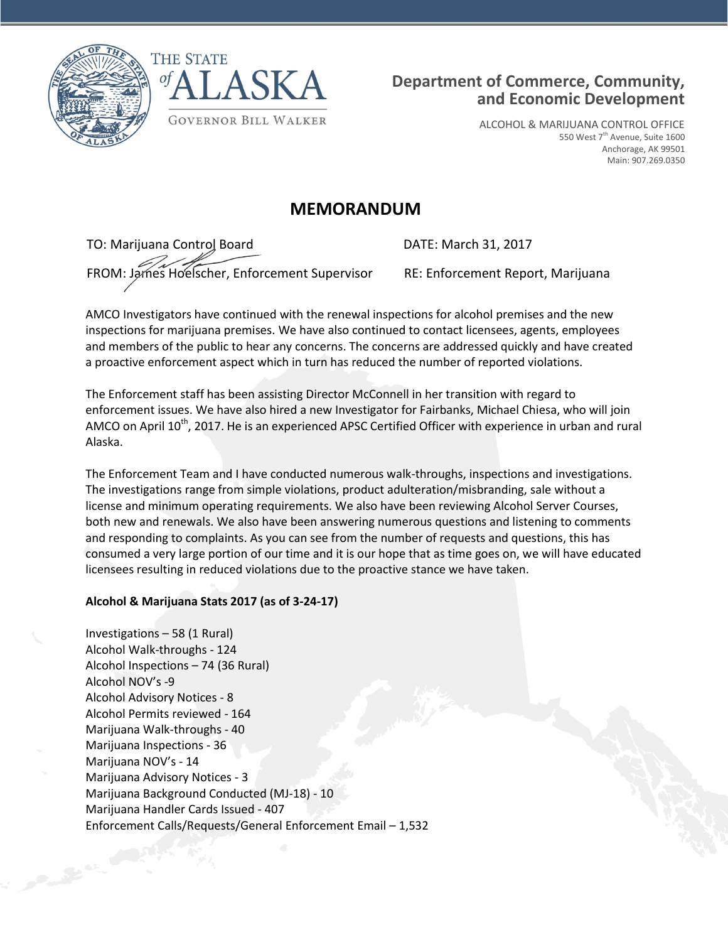



ALCOHOL & MARIJUANA CONTROL OFFICE 550 West 7<sup>th</sup> Avenue, Suite 1600 Anchorage, AK 99501 Main: 907.269.0350

# **MEMORANDUM**

TO: Marijuana Control Board DATE: March 31, 2017

FROM: James Hoelscher, Enforcement Supervisor RE: Enforcement Report, Marijuana

AMCO Investigators have continued with the renewal inspections for alcohol premises and the new inspections for marijuana premises. We have also continued to contact licensees, agents, employees and members of the public to hear any concerns. The concerns are addressed quickly and have created a proactive enforcement aspect which in turn has reduced the number of reported violations.

The Enforcement staff has been assisting Director McConnell in her transition with regard to enforcement issues. We have also hired a new Investigator for Fairbanks, Michael Chiesa, who will join AMCO on April  $10^{th}$ , 2017. He is an experienced APSC Certified Officer with experience in urban and rural Alaska.

The Enforcement Team and I have conducted numerous walk-throughs, inspections and investigations. The investigations range from simple violations, product adulteration/misbranding, sale without a license and minimum operating requirements. We also have been reviewing Alcohol Server Courses, both new and renewals. We also have been answering numerous questions and listening to comments and responding to complaints. As you can see from the number of requests and questions, this has consumed a very large portion of our time and it is our hope that as time goes on, we will have educated licensees resulting in reduced violations due to the proactive stance we have taken.

# **Alcohol & Marijuana Stats 2017 (as of 3-24-17)**

Investigations – 58 (1 Rural) Alcohol Walk-throughs - 124 Alcohol Inspections – 74 (36 Rural) Alcohol NOV's -9 Alcohol Advisory Notices - 8 Alcohol Permits reviewed - 164 Marijuana Walk-throughs - 40 Marijuana Inspections - 36 Marijuana NOV's - 14 Marijuana Advisory Notices - 3 Marijuana Background Conducted (MJ-18) - 10 Marijuana Handler Cards Issued - 407 Enforcement Calls/Requests/General Enforcement Email – 1,532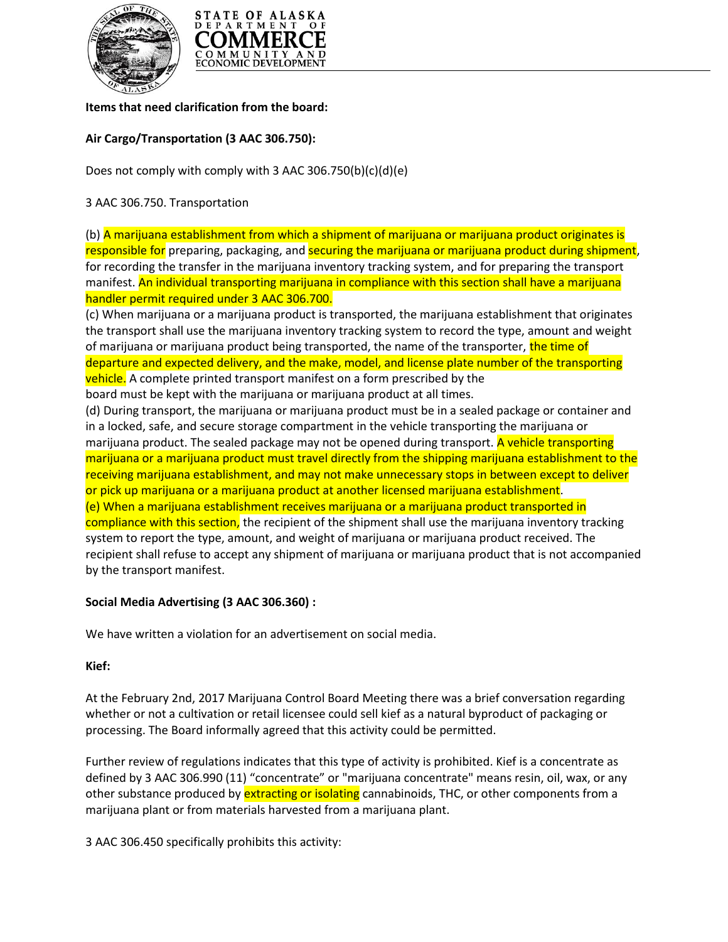



### **Items that need clarification from the board:**

## **Air Cargo/Transportation (3 AAC 306.750):**

Does not comply with comply with 3 AAC 306.750(b)(c)(d)(e)

## 3 AAC 306.750. Transportation

(b) A marijuana establishment from which a shipment of marijuana or marijuana product originates is responsible for preparing, packaging, and securing the marijuana or marijuana product during shipment, for recording the transfer in the marijuana inventory tracking system, and for preparing the transport manifest. An individual transporting marijuana in compliance with this section shall have a marijuana handler permit required under 3 AAC 306.700.

(c) When marijuana or a marijuana product is transported, the marijuana establishment that originates the transport shall use the marijuana inventory tracking system to record the type, amount and weight of marijuana or marijuana product being transported, the name of the transporter, the time of departure and expected delivery, and the make, model, and license plate number of the transporting vehicle. A complete printed transport manifest on a form prescribed by the

board must be kept with the marijuana or marijuana product at all times.

(d) During transport, the marijuana or marijuana product must be in a sealed package or container and in a locked, safe, and secure storage compartment in the vehicle transporting the marijuana or marijuana product. The sealed package may not be opened during transport. A vehicle transporting marijuana or a marijuana product must travel directly from the shipping marijuana establishment to the receiving marijuana establishment, and may not make unnecessary stops in between except to deliver or pick up marijuana or a marijuana product at another licensed marijuana establishment. (e) When a marijuana establishment receives marijuana or a marijuana product transported in compliance with this section, the recipient of the shipment shall use the marijuana inventory tracking system to report the type, amount, and weight of marijuana or marijuana product received. The recipient shall refuse to accept any shipment of marijuana or marijuana product that is not accompanied by the transport manifest.

# **Social Media Advertising (3 AAC 306.360) :**

We have written a violation for an advertisement on social media.

### **Kief:**

At the February 2nd, 2017 Marijuana Control Board Meeting there was a brief conversation regarding whether or not a cultivation or retail licensee could sell kief as a natural byproduct of packaging or processing. The Board informally agreed that this activity could be permitted.

Further review of regulations indicates that this type of activity is prohibited. Kief is a concentrate as defined by 3 AAC 306.990 (11) "concentrate" or "marijuana concentrate" means resin, oil, wax, or any other substance produced by extracting or isolating cannabinoids, THC, or other components from a marijuana plant or from materials harvested from a marijuana plant.

3 AAC 306.450 specifically prohibits this activity: